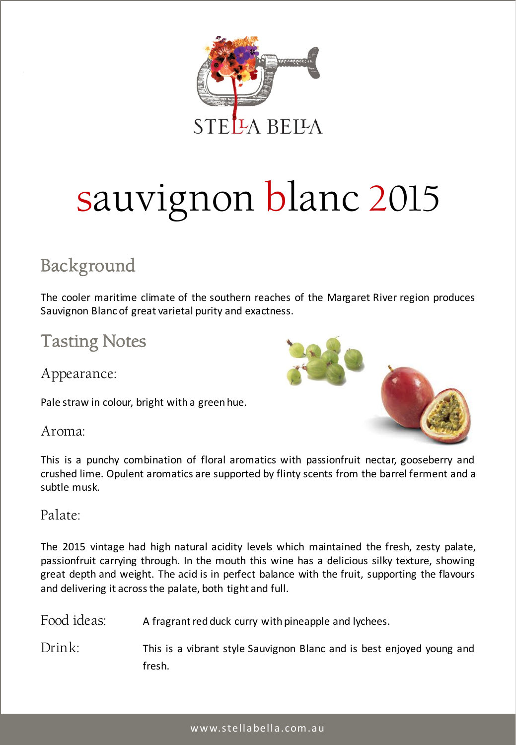

# sauvignon blanc 2015

## Background

The cooler maritime climate of the southern reaches of the Margaret River region produces Sauvignon Blanc of great varietal purity and exactness.

## Tasting Notes

Appearance:

Pale straw in colour, bright with a green hue.



Aroma:

This is a punchy combination of floral aromatics with passionfruit nectar, gooseberry and crushed lime. Opulent aromatics are supported by flinty scents from the barrel ferment and a subtle musk.

#### Palate:

The 2015 vintage had high natural acidity levels which maintained the fresh, zesty palate, passionfruit carrying through. In the mouth this wine has a delicious silky texture, showing great depth and weight. The acid is in perfect balance with the fruit, supporting the flavours and delivering it acrossthe palate, both tight and full.

| Food ideas: | A fragrant red duck curry with pineapple and lychees.                           |
|-------------|---------------------------------------------------------------------------------|
| Drink:      | This is a vibrant style Sauvignon Blanc and is best enjoyed young and<br>fresh. |